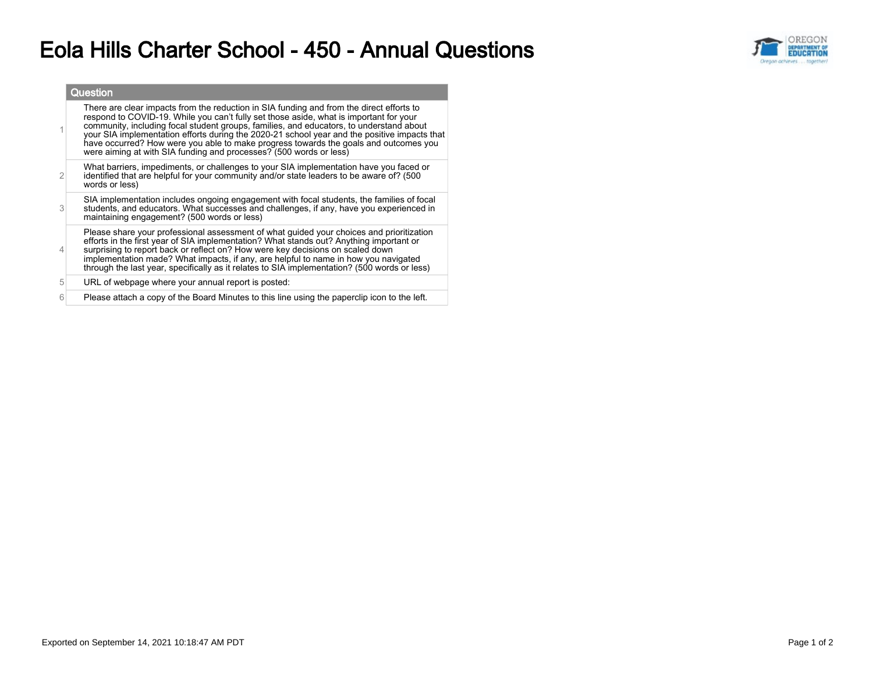## Eola Hills Charter School - 450 - Annual Questions



|                | Question                                                                                                                                                                                                                                                                                                                                                                                                                                                                                                                                    |
|----------------|---------------------------------------------------------------------------------------------------------------------------------------------------------------------------------------------------------------------------------------------------------------------------------------------------------------------------------------------------------------------------------------------------------------------------------------------------------------------------------------------------------------------------------------------|
|                | There are clear impacts from the reduction in SIA funding and from the direct efforts to<br>respond to COVID-19. While you can't fully set those aside, what is important for your<br>community, including focal student groups, families, and educators, to understand about<br>your SIA implementation efforts during the 2020-21 school year and the positive impacts that<br>have occurred? How were you able to make progress towards the goals and outcomes you<br>were aiming at with SIA funding and processes? (500 words or less) |
| $\overline{2}$ | What barriers, impediments, or challenges to your SIA implementation have you faced or<br>identified that are helpful for your community and/or state leaders to be aware of? (500<br>words or less)                                                                                                                                                                                                                                                                                                                                        |
| 3              | SIA implementation includes ongoing engagement with focal students, the families of focal<br>students, and educators. What successes and challenges, if any, have you experienced in<br>maintaining engagement? (500 words or less)                                                                                                                                                                                                                                                                                                         |
| $\overline{4}$ | Please share your professional assessment of what quided your choices and prioritization<br>efforts in the first year of SIA implementation? What stands out? Anything important or<br>surprising to report back or reflect on? How were key decisions on scaled down<br>implementation made? What impacts, if any, are helpful to name in how you navigated<br>through the last year, specifically as it relates to SIA implementation? (500 words or less)                                                                                |
| 5              | URL of webpage where your annual report is posted:                                                                                                                                                                                                                                                                                                                                                                                                                                                                                          |
| 6              | Please attach a copy of the Board Minutes to this line using the paperclip icon to the left.                                                                                                                                                                                                                                                                                                                                                                                                                                                |